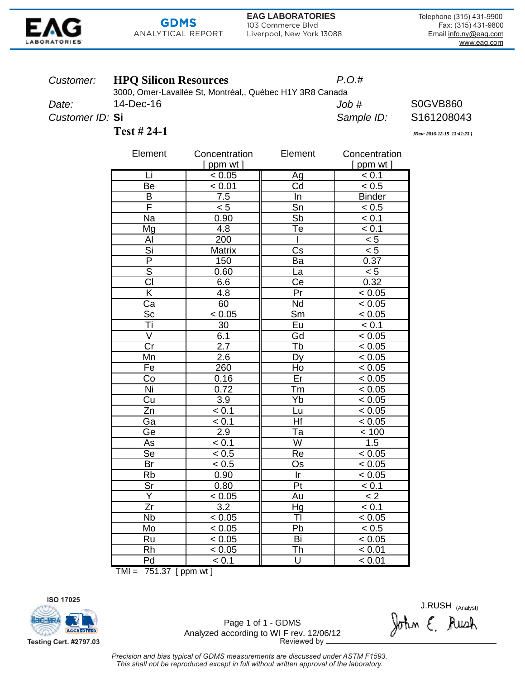

# **GDMS** ANALYTICAL REPORT

**EAG LABORATORIES** 103 Commerce Blvd Liverpool, New York 13088 Telephone (315) 431-9900 Fax: (315) 431-9800 Email info.ny@eag.com www.eag.com

### Customer: **HPQ Silicon Resources**

14-Dec-16

 $P.O.#$ 

3000, Omer-Lavallée St, Montréal,, Québec H1Y 3R8 Canada  $Job#$ 

Sample ID:

Date: Customer ID: Si

**Test #24-1** 

S161208043 [Rev: 2016-12-15 13:41:23]

**S0GVB860** 

| Element                  | Concentration    | Element                           | Concentration      |
|--------------------------|------------------|-----------------------------------|--------------------|
|                          | $[$ ppm wt $]$   |                                   | $[$ ppm wt $]$     |
| Li                       | < 0.05           | Ag                                | < 0.1              |
| Be                       | < 0.01           | Cd                                | < 0.5              |
| B                        | 7.5              | In                                | <b>Binder</b>      |
| Ē                        | $\overline{5}$   | $\overline{\mathsf{Sn}}$          | < 0.5              |
| Na                       | 0.90             | $\overline{\mathsf{S}}$ b         | < 0.1              |
| Mg                       | $\overline{4.8}$ | $\overline{\mathsf{T}}$ e         | $\leq 0.1$         |
| Al                       | 200              | I                                 | < 5                |
| Si                       | <b>Matrix</b>    | $\overline{\mathsf{Cs}}$          | $\overline{5}$     |
| $\overline{\mathsf{P}}$  | 150              | Ba                                | 0.37               |
| $\overline{\mathsf{s}}$  | 0.60             | La                                | $\overline{5}$     |
| CI                       | 6.6              | $\overline{\mathsf{Ce}}$          | 0.32               |
| $\overline{\mathsf{K}}$  | $\overline{4.8}$ | Pr                                | < 0.05             |
| $\overline{c}$ a         | 60               | $\overline{\mathsf{Nd}}$          | < 0.05             |
| Sc                       | < 0.05           | $\overline{\mathsf{Sm}}$          | < 0.05             |
| Τi                       | 30               | Eu                                | < 0.1              |
| V                        | 6.1              | Gd                                | < 0.05             |
| Cr                       | $\overline{2.7}$ | Tb                                | < 0.05             |
| Mn                       | $\overline{2.6}$ | $\overline{Dy}$                   | < 0.05             |
| Fe                       | 260              | Ho                                | < 0.05             |
| Co                       | 0.16             | Er                                | < 0.05             |
| Ni                       | 0.72             | Тm                                | < 0.05             |
| $\overline{\mathrm{Cu}}$ | $\overline{3.9}$ | Yb                                | < 0.05             |
| $\overline{z}$ n         | < 0.1            | <u>Lu</u>                         | < 0.05             |
| Ga                       | $\leq 0.1$       | Hf                                | < 0.05             |
| Ge                       | 2.9              | $\overline{\texttt{T}}\texttt{a}$ | < 100              |
| As                       | < 0.1            | $\overline{\mathsf{W}}$           | 1.5                |
| Se                       | $\leq 0.5$       | Re                                | $\frac{1}{6}$ 0.05 |
| Br                       | < 0.5            | Os                                | < 0.05             |
| Rb                       | 0.90             | $\overline{\mathsf{r}}$           | < 0.05             |
| Sr                       | 0.80             | Pt                                | < 0.1              |
| $\overline{Y}$           | < 0.05           | Au                                | $\overline{2}$     |
| $\overline{Zr}$          | $\overline{3.2}$ | Hg                                | < 0.1              |
| $\overline{\mathsf{Nb}}$ | < 0.05           | $\overline{\mathsf{T}}$           | < 0.05             |
| Mo                       | < 0.05           | Pb                                | $\leq 0.5$         |
| Ru                       | < 0.05           | Bi                                | < 0.05             |
| Rh                       | < 0.05           | Th                                | < 0.01             |
| Pd                       | < 0.1            | $\overline{U}$                    | < 0.01             |

TMI =  $751.37$  [ppm wt]



Page 1 of 1 - GDMS Analyzed according to WI F rev. 12/06/12 Reviewed by -

J.RUSH (Analyst)<br>John E. Auch

Precision and bias typical of GDMS measurements are discussed under ASTM F1593. This shall not be reproduced except in full without written approval of the laboratory.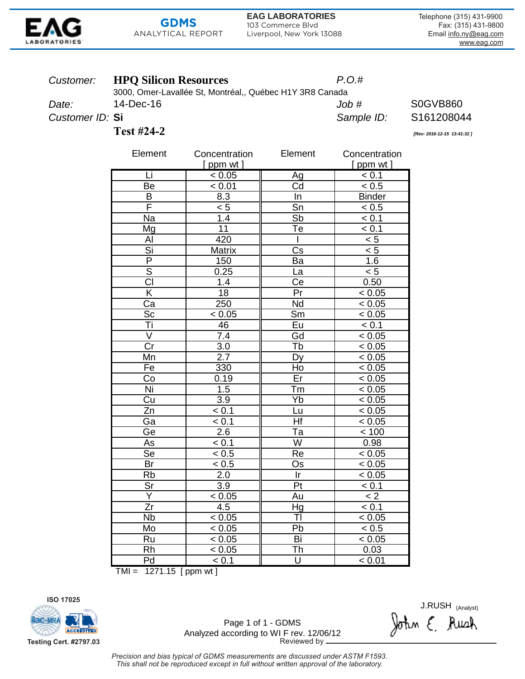

# **GDMS** ANALYTICAL REPORT

3000, Omer-Lavallée St, Montréal,, Québec H1Y 3R8 Canada

**EAG LABORATORIES** 103 Commerce Blvd Liverpool, New York 13088 Telephone (315) 431-9900 Fax: (315) 431-9800 Email info.ny@eag.com www.eag.com

**S0GVB860** 

S161208044

[Rev: 2016-12-15 13:41:32]

### Customer: **HPQ Silicon Resources**

14-Dec-16

 $P.O.#$ 

 $Job#$ 

Sample ID:

Date: Customer ID: Si

**Test #24-2** 

| Element                  | Concentration    | Element                           | Concentration  |
|--------------------------|------------------|-----------------------------------|----------------|
|                          | [ ppm wt ]       |                                   | $[$ ppm wt $]$ |
| Li                       | < 0.05           | Ag                                | < 0.1          |
| Be                       | < 0.01           | Cd                                | < 0.5          |
| B                        | 8.3              | In                                | <b>Binder</b>  |
| F                        | $\overline{5}$   | $\overline{\mathsf{Sn}}$          | < 0.5          |
| Na                       | 1.4              | Sb                                | < 0.1          |
| Mg                       | $\overline{11}$  | Тe                                | < 0.1          |
| $\overline{AI}$          | 420              |                                   | < 5            |
| Si                       | Matrix           | $\overline{\text{Cs}}$            | $\overline{5}$ |
| $\overline{\mathsf{P}}$  | 150              | Ba                                | 1.6            |
| $\overline{\mathsf{s}}$  | 0.25             | La                                | < 5            |
| $\overline{\text{CI}}$   | 1.4              | $\overline{\mathsf{Ce}}$          | 0.50           |
| $\overline{\mathsf{K}}$  | $\overline{18}$  | Pr                                | < 0.05         |
| $\overline{Ca}$          | 250              | $\overline{\mathsf{Nd}}$          | < 0.05         |
| $\overline{\text{Sc}}$   | < 0.05           | $\overline{\mathsf{S}}\mathsf{m}$ | < 0.05         |
| Ti                       | 46               | Eu                                | < 0.1          |
| V                        | 7.4              | Gd                                | < 0.05         |
| Cr                       | $\overline{3.0}$ | Tb                                | < 0.05         |
| Mn                       | 2.7              | Dy                                | < 0.05         |
| Fe                       | 330              | Ho                                | < 0.05         |
| Co                       | 0.19             | Er                                | $\leq 0.05$    |
| Ni                       | 1.5              | Тm                                | < 0.05         |
| $\overline{\mathrm{Cu}}$ | 3.9              | Yb                                | < 0.05         |
| Zn                       | < 0.1            | Lu                                | < 0.05         |
| Ga                       | < 0.1            | Ηf                                | < 0.05         |
| Ge                       | 2.6              | Тa                                | < 100          |
| As                       | < 0.1            | $\overline{\mathsf{W}}$           | 0.98           |
| $\overline{\text{Se}}$   | < 0.5            | Re                                | < 0.05         |
| Br                       | < 0.5            | Os                                | < 0.05         |
| $\overline{\text{Rb}}$   | $\overline{2.0}$ | $\overline{\mathsf{r}}$           | < 0.05         |
| $\overline{\text{Sr}}$   | $\overline{3.9}$ | Pt                                | < 0.1          |
| Y                        | < 0.05           | Au                                | < 2            |
| Zr                       | 4.5              | Hg                                | < 0.1          |
| <b>Nb</b>                | < 0.05           | $\overline{\mathsf{T}}$ l         | < 0.05         |
| Mo                       | < 0.05           | Pb                                | < 0.5          |
| Ru                       | < 0.05           | $\overline{Bi}$                   | < 0.05         |
| $\overline{Rh}$          | < 0.05           | Th                                | 0.03           |
| Pd                       | $\leq 0.1$       | $\overline{\mathsf{U}}$           | < 0.01         |

 $TMI = 1271.15$  [ppm wt]



Page 1 of 1 - GDMS Analyzed according to WI F rev. 12/06/12 Reviewed by -

J.RUSH (Analyst)<br>John E. Auch

Precision and bias typical of GDMS measurements are discussed under ASTM F1593. This shall not be reproduced except in full without written approval of the laboratory.